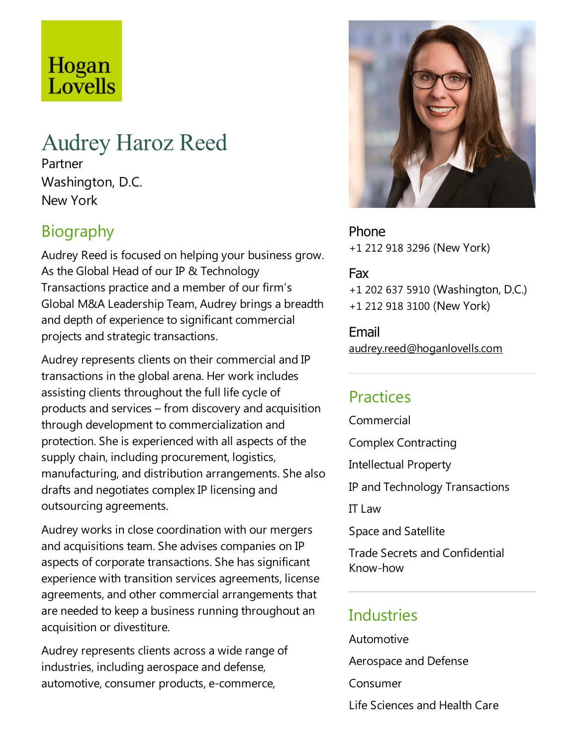# Hogan Lovells

# Audrey Haroz Reed

Partner Washington, D.C. New York

# **Biography**

Audrey Reed is focused on helping your business grow. As the Global Head of our IP & Technology Transactions practice and a member of our firm's Global M&A Leadership Team, Audrey brings a breadth and depth of experience to significant commercial projects and strategic transactions.

Audrey represents clients on their commercial and IP transactions in the global arena. Her work includes assisting clients throughout the full life cycle of products and services – from discovery and acquisition through development to commercialization and protection. She is experienced with all aspects of the supply chain, including procurement, logistics, manufacturing, and distribution arrangements. She also drafts and negotiates complex IP licensing and outsourcing agreements.

Audrey works in close coordination with our mergers and acquisitions team. She advises companies on IP aspects of corporate transactions. She has significant experience with transition services agreements, license agreements, and other commercial arrangements that are needed to keep a business running throughout an acquisition or divestiture.

Audrey represents clients across a wide range of industries, including aerospace and defense, automotive, consumer products, e-commerce,



Phone +1 212 918 3296 (New York)

#### Fax

+1 202 637 5910 (Washington, D.C.) +1 212 918 3100 (New York)

Email audrey.reed@hoganlovells.com

#### Practices

Commercial

Complex Contracting

Intellectual Property

IP and Technology Transactions

IT Law

Space and Satellite

Trade Secrets and Confidential Know-how

#### **Industries**

Automotive

Aerospace and Defense

Consumer

Life Sciences and Health Care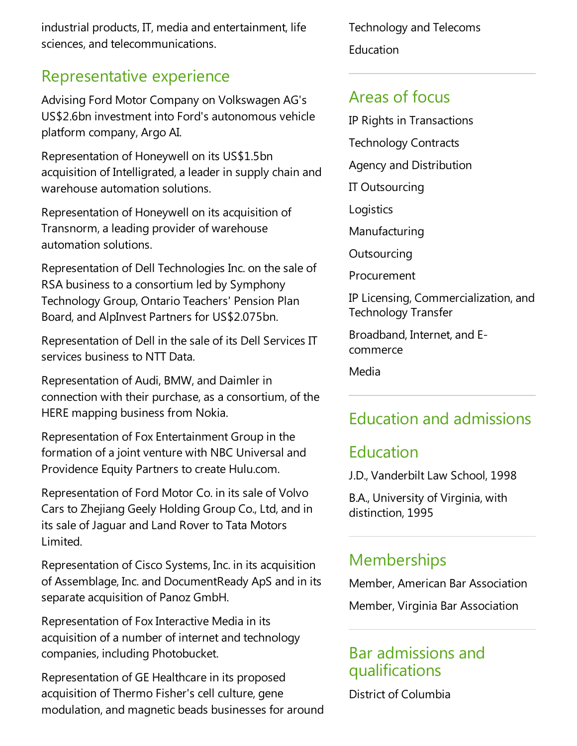industrial products, IT, media and entertainment, life sciences,and telecommunications.

#### Representative experience

Advising Ford Motor Company on Volkswagen AG's US\$2.6bn investment into Ford's autonomous vehicle platform company, Argo AI.

Representation of Honeywell on its US\$1.5bn acquisition of Intelligrated, a leader in supply chain and warehouse automation solutions.

Representation of Honeywell on its acquisition of Transnorm, a leading provider of warehouse automation solutions.

Representation of Dell Technologies Inc. on the sale of RSA business to a consortium led by Symphony Technology Group, Ontario Teachers' Pension Plan Board, and AlpInvest Partners for US\$2.075bn.

Representation of Dell in the sale of its Dell Services IT services business to NTT Data.

Representation of Audi, BMW, and Daimler in connection with their purchase, as a consortium, of the HERE mapping business from Nokia.

Representation of Fox Entertainment Group in the formation of a joint venture with NBC Universal and Providence Equity Partners to create Hulu.com.

Representation of Ford Motor Co. in its sale of Volvo Cars to Zhejiang Geely Holding Group Co., Ltd, and in its sale of Jaguar and Land Rover to Tata Motors Limited.

Representation of Cisco Systems, Inc. in its acquisition of Assemblage, Inc. and DocumentReady ApS and in its separate acquisition of Panoz GmbH.

Representation of Fox Interactive Media in its acquisition of a number of internet and technology companies, including Photobucket.

Representation of GE Healthcare in its proposed acquisition of Thermo Fisher's cell culture, gene modulation, and magnetic beads businesses for around Technology and Telecoms Education

#### Areas of focus

IP Rights in Transactions Technology Contracts Agency and Distribution IT Outsourcing Logistics Manufacturing **Outsourcing** Procurement IP Licensing, Commercialization,and Technology Transfer

Broadband, Internet, and Ecommerce

Media

### Education and admissions

#### Education

J.D., Vanderbilt Law School, 1998

B.A., University of Virginia, with distinction, 1995

#### **Memberships**

Member, American Bar Association

Member, Virginia Bar Association

#### Bar admissions and qualifications

District of Columbia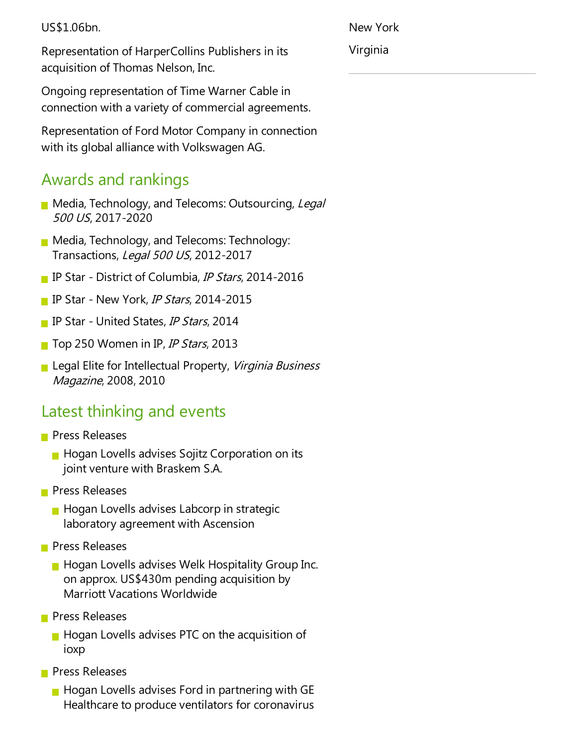US\$1.06bn.

New York

Virginia

Representation of HarperCollins Publishers in its acquisition of Thomas Nelson, Inc.

Ongoing representation of Time Warner Cable in connection with avariety of commercial agreements.

Representation of Ford Motor Company in connection with its global alliance with Volkswagen AG.

### Awards and rankings

- Media, Technology, and Telecoms: Outsourcing, Legal <sup>500</sup> US, 2017-2020
- **Media, Technology, and Telecoms: Technology:** Transactions, Legal 500 US, 2012-2017
- **IF Star District of Columbia, IP Stars, 2014-2016**
- **IP Star New York, IP Stars, 2014-2015**
- **IP Star United States, IP Stars, 2014**
- Top 250 Women in IP, IP Stars, 2013
- **Legal Elite for Intellectual Property**, *Virginia Business* Magazine, 2008, 2010

## Latest thinking and events

- **Press Releases** 
	- $\blacksquare$  Hogan Lovells advises Sojitz Corporation on its joint venture with Braskem S.A.
- **Press Releases** 
	- $\blacksquare$  Hogan Lovells advises Labcorp in strategic laboratory agreement with Ascension
- **Press Releases** 
	- **Hogan Lovells advises Welk Hospitality Group Inc.** on approx. US\$430m pending acquisition by Marriott Vacations Worldwide
- **Press Releases** 
	- $\blacksquare$  Hogan Lovells advises PTC on the acquisition of ioxp
- **Press Releases** 
	- $\blacksquare$  Hogan Lovells advises Ford in partnering with GE Healthcare to produce ventilators for coronavirus